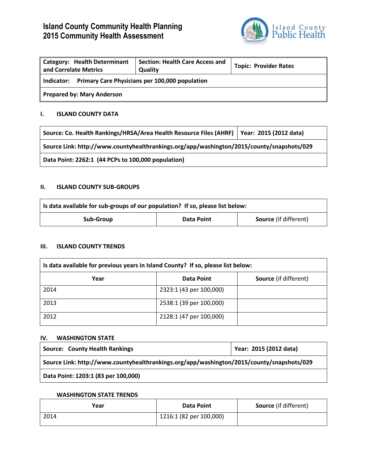# **Island County Community Health Planning 2015 Community Health Assessment**



| <b>Category: Health Determinant</b><br>and Correlate Metrics | <b>Section: Health Care Access and</b><br>Quality | <b>Topic: Provider Rates</b> |
|--------------------------------------------------------------|---------------------------------------------------|------------------------------|
| Primary Care Physicians per 100,000 population<br>Indicator: |                                                   |                              |
| <b>Prepared by: Mary Anderson</b>                            |                                                   |                              |

#### **I. ISLAND COUNTY DATA**

| Source: Co. Health Rankings/HRSA/Area Health Resource Files (AHRF)   Year: 2015 (2012 data) |  |  |
|---------------------------------------------------------------------------------------------|--|--|
| Source Link: http://www.countyhealthrankings.org/app/washington/2015/county/snapshots/029   |  |  |
| Data Point: 2262:1 (44 PCPs to 100,000 population)                                          |  |  |

#### **II. ISLAND COUNTY SUB-GROUPS**

| Is data available for sub-groups of our population? If so, please list below: |            |                              |
|-------------------------------------------------------------------------------|------------|------------------------------|
| Sub-Group                                                                     | Data Point | <b>Source</b> (if different) |

#### **III. ISLAND COUNTY TRENDS**

| Is data available for previous years in Island County? If so, please list below: |                         |                              |
|----------------------------------------------------------------------------------|-------------------------|------------------------------|
| Year                                                                             | <b>Data Point</b>       | <b>Source</b> (if different) |
| 2014                                                                             | 2323:1 (43 per 100,000) |                              |
| 2013                                                                             | 2538:1 (39 per 100,000) |                              |
| 2012                                                                             | 2128:1 (47 per 100,000) |                              |

#### **IV. WASHINGTON STATE**

| <b>Source: County Health Rankings</b>                                                     | Year: 2015 (2012 data) |  |
|-------------------------------------------------------------------------------------------|------------------------|--|
| Source Link: http://www.countyhealthrankings.org/app/washington/2015/county/snapshots/029 |                        |  |
| Data Point: 1203:1 (83 per 100,000)                                                       |                        |  |

### **WASHINGTON STATE TRENDS**

| Year | <b>Data Point</b>       | <b>Source</b> (if different) |
|------|-------------------------|------------------------------|
| 2014 | 1216:1 (82 per 100,000) |                              |